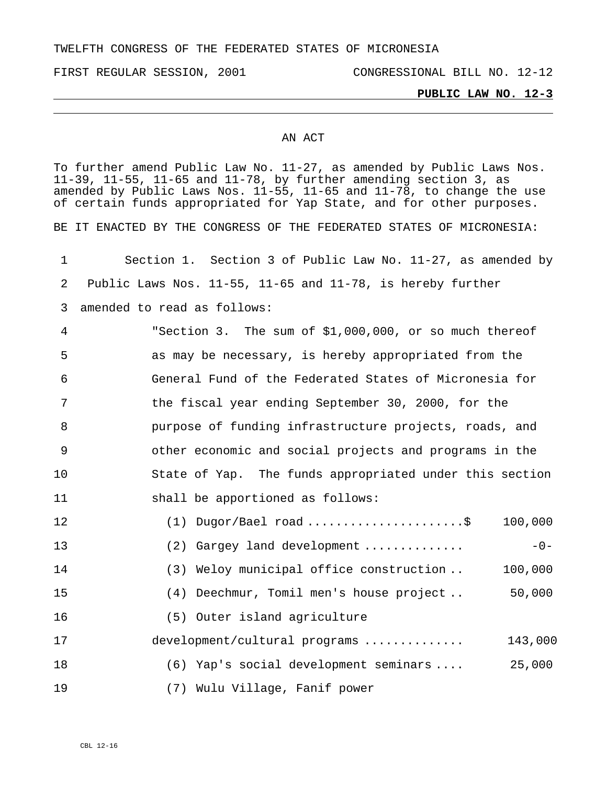TWELFTH CONGRESS OF THE FEDERATED STATES OF MICRONESIA

## **PUBLIC LAW NO. 12-3**

## AN ACT

To further amend Public Law No. 11-27, as amended by Public Laws Nos. 11-39, 11-55, 11-65 and 11-78, by further amending section 3, as amended by Public Laws Nos. 11-55, 11-65 and 11-78, to change the use of certain funds appropriated for Yap State, and for other purposes. BE IT ENACTED BY THE CONGRESS OF THE FEDERATED STATES OF MICRONESIA: 1 2 3 4 5 6 7 8 9 10 11 12 13 14 15 16 17 18 19 Section 1. Section 3 of Public Law No. 11-27, as amended by Public Laws Nos. 11-55, 11-65 and 11-78, is hereby further amended to read as follows: "Section 3. The sum of \$1,000,000, or so much thereof as may be necessary, is hereby appropriated from the General Fund of the Federated States of Micronesia for the fiscal year ending September 30, 2000, for the purpose of funding infrastructure projects, roads, and other economic and social projects and programs in the State of Yap. The funds appropriated under this section shall be apportioned as follows: (1) Dugor/Bael road ......................\$ 100,000  $(2)$  Gargey land development  $\dots\dots\dots\dots$ (3) Weloy municipal office construction .. 100,000 (4) Deechmur, Tomil men's house project .. 50,000 (5) Outer island agriculture development/cultural programs .............. 143,000 (6) Yap's social development seminars .... 25,000 (7) Wulu Village, Fanif power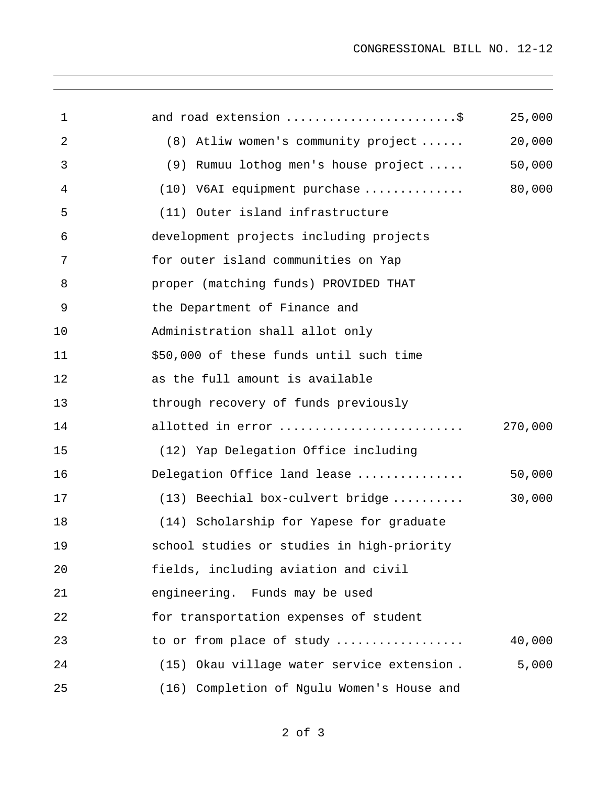| $\mathbf 1$ | and road extension \$                      | 25,000  |
|-------------|--------------------------------------------|---------|
| 2           | (8) Atliw women's community project        | 20,000  |
| 3           | (9) Rumuu lothog men's house project       | 50,000  |
| 4           | (10) V6AI equipment purchase               | 80,000  |
| 5           | (11) Outer island infrastructure           |         |
| 6           | development projects including projects    |         |
| 7           | for outer island communities on Yap        |         |
| 8           | proper (matching funds) PROVIDED THAT      |         |
| 9           | the Department of Finance and              |         |
| 10          | Administration shall allot only            |         |
| 11          | \$50,000 of these funds until such time    |         |
| 12          | as the full amount is available            |         |
| 13          | through recovery of funds previously       |         |
| 14          | allotted in error                          | 270,000 |
| 15          | (12) Yap Delegation Office including       |         |
| 16          | Delegation Office land lease               | 50,000  |
| 17          | (13) Beechial box-culvert bridge           | 30,000  |
| 18          | (14) Scholarship for Yapese for graduate   |         |
| 19          | school studies or studies in high-priority |         |
| 20          | fields, including aviation and civil       |         |
| 21          | engineering. Funds may be used             |         |
| 22          | for transportation expenses of student     |         |
| 23          | to or from place of study                  | 40,000  |
| 24          | (15) Okau village water service extension. | 5,000   |
| 25          | (16) Completion of Ngulu Women's House and |         |